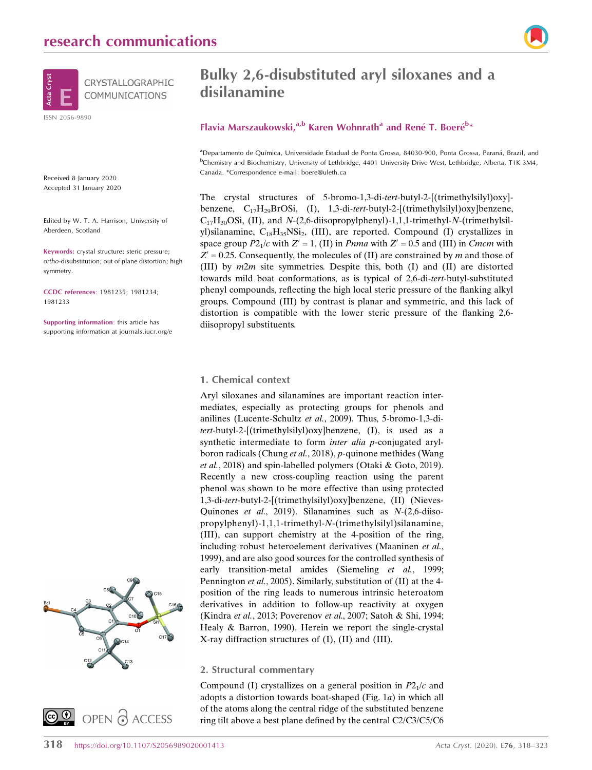

Received 8 January 2020 Accepted 31 January 2020

Edited by W. T. A. Harrison, University of Aberdeen, Scotland

Keywords: crystal structure; steric pressure; ortho-disubstitution; out of plane distortion; high symmetry.

CCDC references: 1981235; 1981234; 1981233

Supporting information: this article has supporting information at journals.iucr.org/e





# Bulky 2,6-disubstituted aryl siloxanes and a disilanamine

### Flavia Marszaukowski,<sup>a,b</sup> Karen Wohnrath<sup>a</sup> and René T. Boeré<sup>b</sup>\*

<sup>a</sup>Departamento de Química, Universidade Estadual de Ponta Grossa, 84030-900, Ponta Grossa, Paraná, Brazil, and b Chemistry and Biochemistry, University of Lethbridge, 4401 University Drive West, Lethbridge, Alberta, T1K 3M4, Canada. \*Correspondence e-mail: boere@uleth.ca

The crystal structures of 5-bromo-1,3-di-tert-butyl-2-[(trimethylsilyl)oxy] benzene,  $C_{17}H_{29}BrOSi$ , (I), 1,3-di-tert-butyl-2-[(trimethylsilyl)oxy]benzene,  $C_{17}H_{30}$ OSi, (II), and N-(2,6-diisopropylphenyl)-1,1,1-trimethyl-N-(trimethylsilyl)silanamine,  $C_{18}H_{35}NSi_2$ , (III), are reported. Compound (I) crystallizes in space group  $P2<sub>1</sub>/c$  with  $Z' = 1$ , (II) in *Pnma* with  $Z' = 0.5$  and (III) in *Cmcm* with  $Z' = 0.25$ . Consequently, the molecules of (II) are constrained by m and those of (III) by  $m2m$  site symmetries. Despite this, both (I) and (II) are distorted towards mild boat conformations, as is typical of 2,6-di-tert-butyl-substituted phenyl compounds, reflecting the high local steric pressure of the flanking alkyl groups. Compound (III) by contrast is planar and symmetric, and this lack of distortion is compatible with the lower steric pressure of the flanking 2,6 diisopropyl substituents.

#### 1. Chemical context

Aryl siloxanes and silanamines are important reaction intermediates, especially as protecting groups for phenols and anilines (Lucente-Schultz et al., 2009). Thus, 5-bromo-1,3-ditert-butyl-2-[(trimethylsilyl)oxy]benzene, (I), is used as a synthetic intermediate to form inter alia p-conjugated arylboron radicals (Chung et al., 2018), p-quinone methides (Wang et al., 2018) and spin-labelled polymers (Otaki & Goto, 2019). Recently a new cross-coupling reaction using the parent phenol was shown to be more effective than using protected 1,3-di-tert-butyl-2-[(trimethylsilyl)oxy]benzene, (II) (Nieves-Quinones et al., 2019). Silanamines such as N-(2,6-diisopropylphenyl)-1,1,1-trimethyl-N-(trimethylsilyl)silanamine, (III), can support chemistry at the 4-position of the ring, including robust heteroelement derivatives (Maaninen et al., 1999), and are also good sources for the controlled synthesis of early transition-metal amides (Siemeling et al., 1999; Pennington et al., 2005). Similarly, substitution of (II) at the 4 position of the ring leads to numerous intrinsic heteroatom derivatives in addition to follow-up reactivity at oxygen (Kindra et al., 2013; Poverenov et al., 2007; Satoh & Shi, 1994; Healy & Barron, 1990). Herein we report the single-crystal X-ray diffraction structures of (I), (II) and (III).

#### 2. Structural commentary

Compound (I) crystallizes on a general position in  $P2<sub>1</sub>/c$  and adopts a distortion towards boat-shaped (Fig. 1a) in which all of the atoms along the central ridge of the substituted benzene ring tilt above a best plane defined by the central C2/C3/C5/C6

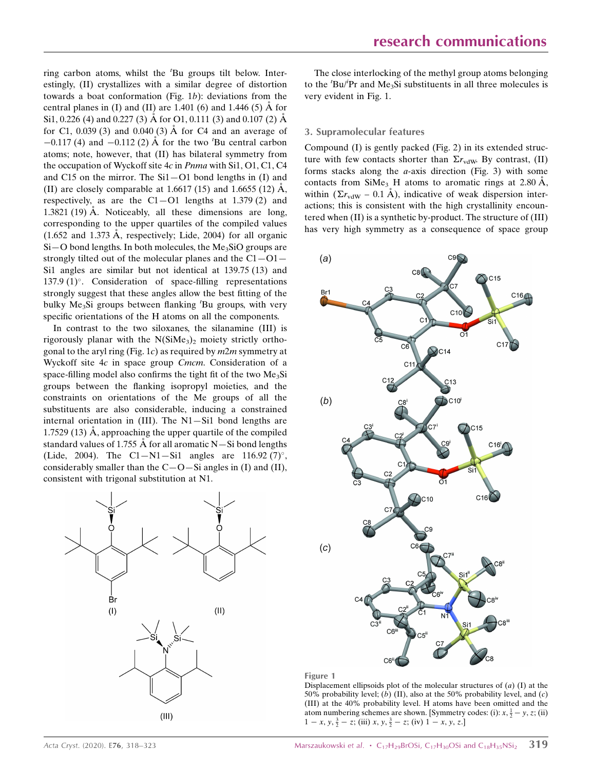ring carbon atoms, whilst the 'Bu groups tilt below. Interestingly, (II) crystallizes with a similar degree of distortion towards a boat conformation (Fig.  $1b$ ): deviations from the central planes in (I) and (II) are 1.401 (6) and 1.446 (5)  $\AA$  for Si1, 0.226 (4) and 0.227 (3) Å for O1, 0.111 (3) and 0.107 (2) Å for C1, 0.039 (3) and 0.040 (3)  $\AA$  for C4 and an average of  $-0.117$  (4) and  $-0.112$  (2) Å for the two 'Bu central carbon atoms; note, however, that (II) has bilateral symmetry from the occupation of Wyckoff site 4c in Pnma with Si1, O1, C1, C4 and C15 on the mirror. The Si1—O1 bond lengths in (I) and (II) are closely comparable at 1.6617 (15) and 1.6655 (12)  $\AA$ , respectively, as are the  $C1 - O1$  lengths at 1.379 (2) and 1.3821 (19)  $\AA$ . Noticeably, all these dimensions are long, corresponding to the upper quartiles of the compiled values  $(1.652$  and  $1.373$  Å, respectively; Lide, 2004) for all organic  $Si-O$  bond lengths. In both molecules, the Me<sub>3</sub>SiO groups are strongly tilted out of the molecular planes and the  $C1 - O1 -$ Si1 angles are similar but not identical at 139.75 (13) and 137.9 (1) $^{\circ}$ . Consideration of space-filling representations strongly suggest that these angles allow the best fitting of the bulky Me<sub>3</sub>Si groups between flanking 'Bu groups, with very specific orientations of the H atoms on all the components.

In contrast to the two siloxanes, the silanamine (III) is rigorously planar with the  $N(SiMe<sub>3</sub>)<sub>2</sub>$  moiety strictly orthogonal to the aryl ring (Fig. 1c) as required by  $m2m$  symmetry at Wyckoff site 4c in space group Cmcm. Consideration of a space-filling model also confirms the tight fit of the two  $Me<sub>3</sub>Si$ groups between the flanking isopropyl moieties, and the constraints on orientations of the Me groups of all the substituents are also considerable, inducing a constrained internal orientation in (III). The N1—Si1 bond lengths are 1.7529 (13)  $\dot{A}$ , approaching the upper quartile of the compiled standard values of 1.755 Å for all aromatic  $N-Si$  bond lengths (Lide, 2004). The C1-N1-Si1 angles are 116.92  $(7)^\circ$ , considerably smaller than the  $C-O-Si$  angles in (I) and (II), consistent with trigonal substitution at N1.



The close interlocking of the methyl group atoms belonging to the 'Bu/<sup>i</sup>Pr and Me<sub>3</sub>Si substituents in all three molecules is very evident in Fig. 1.

#### 3. Supramolecular features

Compound (I) is gently packed (Fig. 2) in its extended structure with few contacts shorter than  $\Sigma r_{\text{vdW}}$ . By contrast, (II) forms stacks along the *a*-axis direction (Fig. 3) with some contacts from SiMe<sub>3</sub> H atoms to aromatic rings at 2.80  $\AA$ , within  $(\Sigma r_{vdW} - 0.1 \text{ Å})$ , indicative of weak dispersion interactions; this is consistent with the high crystallinity encountered when (II) is a synthetic by-product. The structure of (III) has very high symmetry as a consequence of space group



Figure 1

Displacement ellipsoids plot of the molecular structures of  $(a)$  (I) at the 50% probability level; (b) (II), also at the 50% probability level, and  $(c)$ (III) at the 40% probability level. H atoms have been omitted and the atom numbering schemes are shown. [Symmetry codes: (i):  $x, \frac{1}{2} - y, z$ ; (ii)  $1 - x, y, \frac{3}{2} - z$ ; (iii)  $x, y, \frac{3}{2} - z$ ; (iv)  $1 - x, y, z$ .]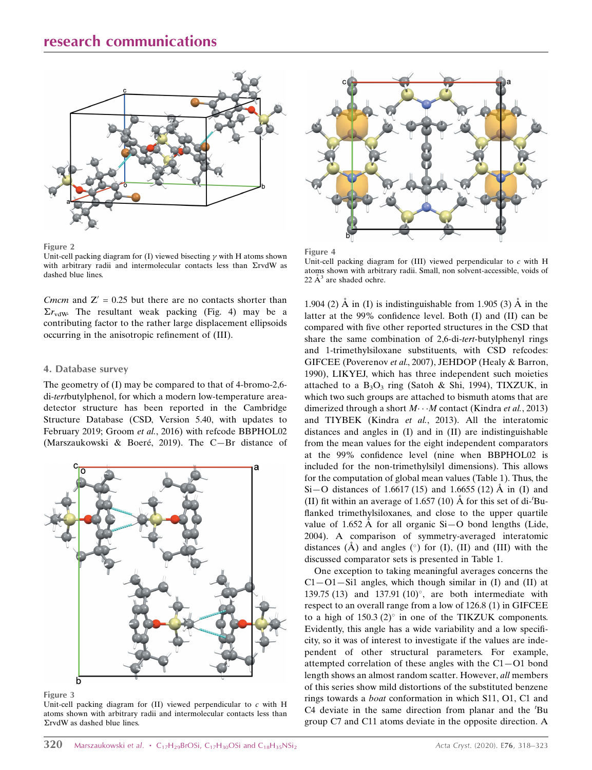

Figure 2

Unit-cell packing diagram for (I) viewed bisecting  $\gamma$  with H atoms shown with arbitrary radii and intermolecular contacts less than  $\Sigma$ rvdW as dashed blue lines.

Cmcm and  $Z' = 0.25$  but there are no contacts shorter than  $\Sigma r_{\text{vdW}}$ . The resultant weak packing (Fig. 4) may be a contributing factor to the rather large displacement ellipsoids occurring in the anisotropic refinement of (III).

#### 4. Database survey

The geometry of (I) may be compared to that of 4-bromo-2,6 di-tertbutylphenol, for which a modern low-temperature areadetector structure has been reported in the Cambridge Structure Database (CSD, Version 5.40, with updates to February 2019; Groom et al., 2016) with refcode BBPHOL02 (Marszaukowski & Boeré, 2019). The C-Br distance of



Figure 3

Unit-cell packing diagram for  $(II)$  viewed perpendicular to  $c$  with H atoms shown with arbitrary radii and intermolecular contacts less than ΣrvdW as dashed blue lines.



Figure 4

Unit-cell packing diagram for  $(III)$  viewed perpendicular to  $c$  with H atoms shown with arbitrary radii. Small, non solvent-accessible, voids of  $22 \text{ Å}^3$  are shaded ochre.

1.904 (2)  $\AA$  in (I) is indistinguishable from 1.905 (3)  $\AA$  in the latter at the 99% confidence level. Both (I) and (II) can be compared with five other reported structures in the CSD that share the same combination of 2,6-di-tert-butylphenyl rings and 1-trimethylsiloxane substituents, with CSD refcodes: GIFCEE (Poverenov et al., 2007), JEHDOP (Healy & Barron, 1990), LIKYEJ, which has three independent such moieties attached to a  $B_3O_3$  ring (Satoh & Shi, 1994), TIXZUK, in which two such groups are attached to bismuth atoms that are dimerized through a short  $M \cdots M$  contact (Kindra et al., 2013) and TIYBEK (Kindra et al., 2013). All the interatomic distances and angles in (I) and in (II) are indistinguishable from the mean values for the eight independent comparators at the 99% confidence level (nine when BBPHOL02 is included for the non-trimethylsilyl dimensions). This allows for the computation of global mean values (Table 1). Thus, the Si-O distances of 1.6617 (15) and 1.6655 (12)  $\AA$  in (I) and (II) fit within an average of 1.657 (10)  $\AA$  for this set of di-'Buflanked trimethylsiloxanes, and close to the upper quartile value of  $1.652 \text{ Å}$  for all organic Si-O bond lengths (Lide, 2004). A comparison of symmetry-averaged interatomic distances  $(A)$  and angles  $(°)$  for  $(I)$ ,  $(II)$  and  $(III)$  with the discussed comparator sets is presented in Table 1.

One exception to taking meaningful averages concerns the  $C1 - O1 - Si1$  angles, which though similar in (I) and (II) at 139.75 (13) and 137.91 (10) $^{\circ}$ , are both intermediate with respect to an overall range from a low of 126.8 (1) in GIFCEE to a high of  $150.3$  (2) $^{\circ}$  in one of the TIKZUK components. Evidently, this angle has a wide variability and a low specificity, so it was of interest to investigate if the values are independent of other structural parameters. For example, attempted correlation of these angles with the  $C1 - O1$  bond length shows an almost random scatter. However, all members of this series show mild distortions of the substituted benzene rings towards a boat conformation in which S11, O1, C1 and  $C4$  deviate in the same direction from planar and the 'Bu group C7 and C11 atoms deviate in the opposite direction. A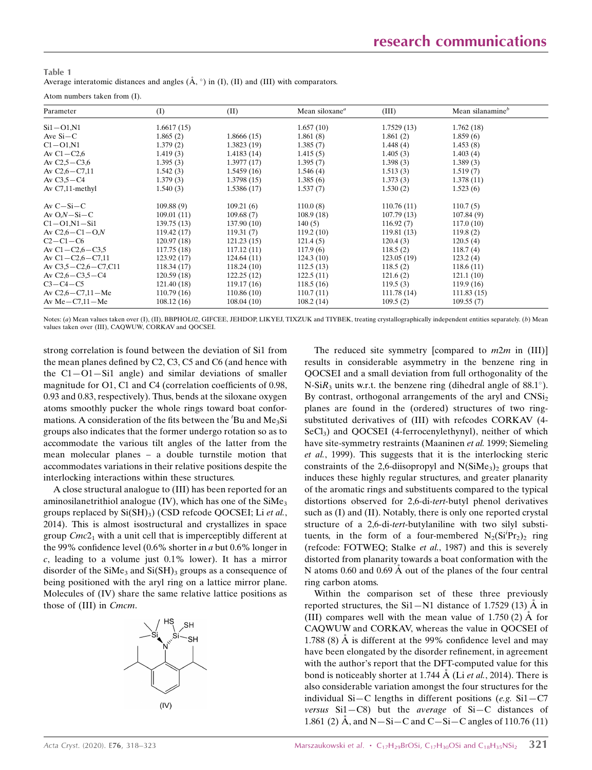| Table 1                                                                                          |  |
|--------------------------------------------------------------------------------------------------|--|
| Average interatomic distances and angles $(A, \degree)$ in (I), (II) and (III) with comparators. |  |

Atom numbers taken from (I).

| Parameter                  | (I)         | (II)       | Mean siloxane $a$ | (III)      | Mean silanamine <sup>b</sup> |
|----------------------------|-------------|------------|-------------------|------------|------------------------------|
| $Si1 - O1, N1$             | 1.6617(15)  |            | 1.657(10)         | 1.7529(13) | 1.762(18)                    |
| Ave $Si-C$                 | 1.865(2)    | 1.8666(15) | 1.861(8)          | 1.861(2)   | 1.859(6)                     |
| $C1 - O1$ , N1             | 1.379(2)    | 1.3823(19) | 1.385(7)          | 1.448(4)   | 1.453(8)                     |
| Av $C1 - C2,6$             | 1.419(3)    | 1.4183(14) | 1.415(5)          | 1.405(3)   | 1.403(4)                     |
| Av $C2.5 - C3.6$           | 1.395(3)    | 1.3977(17) | 1.395(7)          | 1.398(3)   | 1.389(3)                     |
| Av $C2,6 - C7,11$          | 1.542(3)    | 1.5459(16) | 1.546(4)          | 1.513(3)   | 1.519(7)                     |
| Av $C3,5-C4$               | 1.379(3)    | 1.3798(15) | 1.385(6)          | 1.373(3)   | 1.378(11)                    |
| Av $C7,11$ -methyl         | 1.540(3)    | 1.5386(17) | 1.537(7)          | 1.530(2)   | 1.523(6)                     |
| Av $C-Si-C$                | 109.88(9)   | 109.21(6)  | 110.0(8)          | 110.76(11) | 110.7(5)                     |
| Av $O(N-Si-C)$             | 109.01(11)  | 109.68(7)  | 108.9(18)         | 107.79(13) | 107.84(9)                    |
| $C1 - O1$ , $N1 - Si1$     | 139.75(13)  | 137.90(10) | 140(5)            | 116.92(7)  | 117.0(10)                    |
| Av $C2,6 - C1 - O,N$       | 119.42 (17) | 119.31(7)  | 119.2(10)         | 119.81(13) | 119.8(2)                     |
| $C2 - C1 - C6$             | 120.97(18)  | 121.23(15) | 121.4(5)          | 120.4(3)   | 120.5(4)                     |
| Av $C1 - C2.6 - C3.5$      | 117.75(18)  | 117.12(11) | 117.9(6)          | 118.5(2)   | 118.7(4)                     |
| Av $C1 - C2, 6 - C7, 11$   | 123.92(17)  | 124.64(11) | 124.3(10)         | 123.05(19) | 123.2(4)                     |
| Av $C3,5 - C2,6 - C7, C11$ | 118.34(17)  | 118.24(10) | 112.5(13)         | 118.5(2)   | 118.6(11)                    |
| Av $C2,6 - C3,5 - C4$      | 120.59(18)  | 122.25(12) | 122.5(11)         | 121.6(2)   | 121.1(10)                    |
| $C3-C4-C5$                 | 121.40(18)  | 119.17(16) | 118.5(16)         | 119.5(3)   | 119.9(16)                    |
| Av $C2,6 - C7,11 - Me$     | 110.79(16)  | 110.86(10) | 110.7(11)         | 111.78(14) | 111.83(15)                   |
| Av $Me$ - $C7,11$ - Me     | 108.12(16)  | 108.04(10) | 108.2(14)         | 109.5(2)   | 109.55(7)                    |

Notes: (a) Mean values taken over (I), (II), BBPHOL02, GIFCEE, JEHDOP, LIKYEJ, TIXZUK and TIYBEK, treating crystallographically independent entities separately. (b) Mean values taken over (III), CAQWUW, CORKAV and QOCSEI.

strong correlation is found between the deviation of Si1 from the mean planes defined by C2, C3, C5 and C6 (and hence with the  $C1 - O1 - Si1$  angle) and similar deviations of smaller magnitude for O1, C1 and C4 (correlation coefficients of 0.98, 0.93 and 0.83, respectively). Thus, bends at the siloxane oxygen atoms smoothly pucker the whole rings toward boat conformations. A consideration of the fits between the 'Bu and  $Me<sub>3</sub>Si$ groups also indicates that the former undergo rotation so as to accommodate the various tilt angles of the latter from the mean molecular planes – a double turnstile motion that accommodates variations in their relative positions despite the interlocking interactions within these structures.

A close structural analogue to (III) has been reported for an aminosilanetrithiol analogue (IV), which has one of the SiMe<sub>3</sub> groups replaced by  $Si(SH)_{3}$ ) (CSD refcode QOCSEI; Li et al., 2014). This is almost isostructural and crystallizes in space group  $Cmc2<sub>1</sub>$  with a unit cell that is imperceptibly different at the 99% confidence level (0.6% shorter in a but 0.6% longer in  $c$ , leading to a volume just 0.1% lower). It has a mirror disorder of the  $\text{SiMe}_3$  and  $\text{Si(SH)}_3$  groups as a consequence of being positioned with the aryl ring on a lattice mirror plane. Molecules of (IV) share the same relative lattice positions as those of (III) in Cmcm.



The reduced site symmetry [compared to  $m2m$  in (III)] results in considerable asymmetry in the benzene ring in QOCSEI and a small deviation from full orthogonality of the N-Si $R_3$  units w.r.t. the benzene ring (dihedral angle of 88.1°). By contrast, orthogonal arrangements of the aryl and  $CNSi<sub>2</sub>$ planes are found in the (ordered) structures of two ringsubstituted derivatives of (III) with refcodes CORKAV (4- SeCl<sub>3</sub>) and QOCSEI (4-ferrocenylethynyl), neither of which have site-symmetry restraints (Maaninen et al. 1999; Siemeling et al., 1999). This suggests that it is the interlocking steric constraints of the 2,6-diisopropyl and  $N(SiMe<sub>3</sub>)<sub>2</sub>$  groups that induces these highly regular structures, and greater planarity of the aromatic rings and substituents compared to the typical distortions observed for 2,6-di-tert-butyl phenol derivatives such as (I) and (II). Notably, there is only one reported crystal structure of a 2,6-di-tert-butylaniline with two silyl substituents, in the form of a four-membered  $N_2(Si'Pr_2)_2$  ring (refcode: FOTWEQ; Stalke et al., 1987) and this is severely distorted from planarity towards a boat conformation with the N atoms  $0.60$  and  $0.69$  Å out of the planes of the four central ring carbon atoms.

Within the comparison set of these three previously reported structures, the  $Si1-N1$  distance of 1.7529 (13)  $\AA$  in (III) compares well with the mean value of  $1.750(2)$  Å for CAQWUW and CORKAV, whereas the value in QOCSEI of 1.788  $(8)$  Å is different at the 99% confidence level and may have been elongated by the disorder refinement, in agreement with the author's report that the DFT-computed value for this bond is noticeably shorter at 1.744  $\AA$  (Li *et al.*, 2014). There is also considerable variation amongst the four structures for the individual Si-C lengths in different positions (e.g.  $Si1-C7$ ) versus  $Si1-C8$ ) but the average of  $Si-C$  distances of 1.861 (2) A, and N-Si-C and C-Si-C angles of 110.76 (11)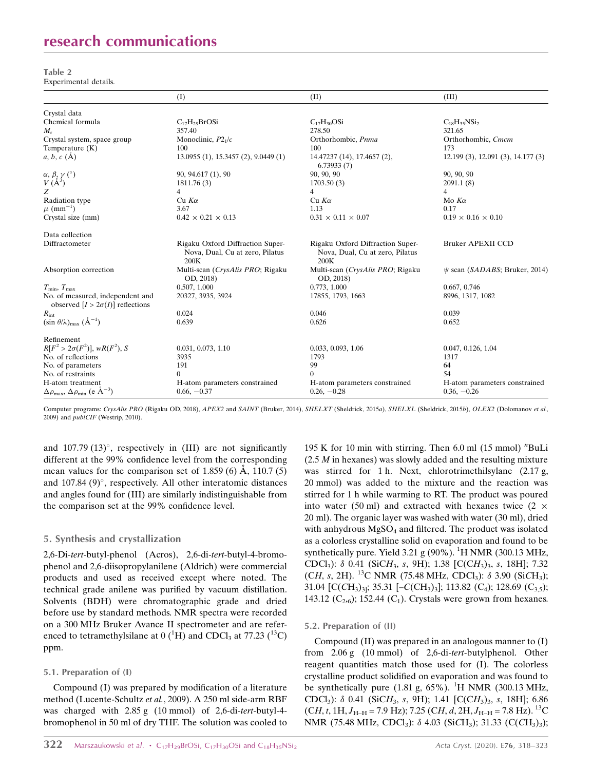# research communications

Table 2 Experimental details.

|                                                                             | (I)                                                                         | (II)                                                                        | (III)                                       |
|-----------------------------------------------------------------------------|-----------------------------------------------------------------------------|-----------------------------------------------------------------------------|---------------------------------------------|
| Crystal data                                                                |                                                                             |                                                                             |                                             |
| Chemical formula                                                            | $C_{17}H_{29}BrOSi$                                                         | $C_{17}H_{30}OSi$                                                           | $C_{18}H_{35}NSi_2$                         |
| $M_{\rm r}$                                                                 | 357.40                                                                      | 278.50                                                                      | 321.65                                      |
| Crystal system, space group                                                 | Monoclinic, $P21/c$                                                         | Orthorhombic, Pnma                                                          | Orthorhombic, Cmcm                          |
| Temperature $(K)$                                                           | 100                                                                         | 100                                                                         | 173                                         |
| $a, b, c$ (A)                                                               | 13.0955 (1), 15.3457 (2), 9.0449 (1)                                        | 14.47237 (14), 17.4657 (2),<br>6.73933(7)                                   | $12.199(3)$ , $12.091(3)$ , $14.177(3)$     |
| $\alpha, \beta, \gamma$ (°)                                                 | 90, 94.617 (1), 90                                                          | 90, 90, 90                                                                  | 90, 90, 90                                  |
| $V(\AA^3)$                                                                  | 1811.76(3)                                                                  | 1703.50(3)                                                                  | 2091.1(8)                                   |
| Z                                                                           | $\overline{4}$                                                              | 4                                                                           | 4                                           |
| Radiation type                                                              | Cu $K\alpha$                                                                | Cu $K\alpha$                                                                | Mo $K\alpha$                                |
| $\mu$ (mm <sup>-1</sup> )                                                   | 3.67                                                                        | 1.13                                                                        | 0.17                                        |
| Crystal size (mm)                                                           | $0.42 \times 0.21 \times 0.13$                                              | $0.31 \times 0.11 \times 0.07$                                              | $0.19 \times 0.16 \times 0.10$              |
| Data collection                                                             |                                                                             |                                                                             |                                             |
| Diffractometer                                                              | Rigaku Oxford Diffraction Super-<br>Nova, Dual, Cu at zero, Pilatus<br>200K | Rigaku Oxford Diffraction Super-<br>Nova, Dual, Cu at zero, Pilatus<br>200K | <b>Bruker APEXII CCD</b>                    |
| Absorption correction                                                       | Multi-scan (CrysAlis PRO; Rigaku<br>OD, 2018)                               | Multi-scan (CrysAlis PRO; Rigaku<br>OD, 2018)                               | $\psi$ scan ( <i>SADABS</i> ; Bruker, 2014) |
| $T_{\min}, T_{\max}$                                                        | 0.507, 1.000                                                                | 0.773, 1.000                                                                | 0.667, 0.746                                |
| No. of measured, independent and<br>observed $[I > 2\sigma(I)]$ reflections | 20327, 3935, 3924                                                           | 17855, 1793, 1663                                                           | 8996, 1317, 1082                            |
| $R_{\rm int}$                                                               | 0.024                                                                       | 0.046                                                                       | 0.039                                       |
| $(\sin \theta/\lambda)_{\text{max}}$ $(\text{\AA}^{-1})$                    | 0.639                                                                       | 0.626                                                                       | 0.652                                       |
| Refinement                                                                  |                                                                             |                                                                             |                                             |
| $R[F^2 > 2\sigma(F^2)], wR(F^2), S$                                         | 0.031, 0.073, 1.10                                                          | 0.033, 0.093, 1.06                                                          | 0.047, 0.126, 1.04                          |
| No. of reflections                                                          | 3935                                                                        | 1793                                                                        | 1317                                        |
| No. of parameters                                                           | 191                                                                         | 99                                                                          | 64                                          |
| No. of restraints                                                           | $\overline{0}$                                                              | $\Omega$                                                                    | 54                                          |
| H-atom treatment                                                            | H-atom parameters constrained                                               | H-atom parameters constrained                                               | H-atom parameters constrained               |
| $\Delta \rho_{\text{max}}$ , $\Delta \rho_{\text{min}}$ (e $\AA^{-3}$ )     | $0.66, -0.37$                                                               | $0.26, -0.28$                                                               | $0.36, -0.26$                               |

Computer programs: CrysAlis PRO (Rigaku OD, 2018), APEX2 and SAINT (Bruker, 2014), SHELXT (Sheldrick, 2015a), SHELXL (Sheldrick, 2015b), OLEX2 (Dolomanov et al., 2009) and publCIF (Westrip, 2010).

and  $107.79(13)$ °, respectively in (III) are not significantly different at the 99% confidence level from the corresponding mean values for the comparison set of 1.859 (6)  $\AA$ , 110.7 (5) and  $107.84$  (9) $^{\circ}$ , respectively. All other interatomic distances and angles found for (III) are similarly indistinguishable from the comparison set at the 99% confidence level.

#### 5. Synthesis and crystallization

2,6-Di-tert-butyl-phenol (Acros), 2,6-di-tert-butyl-4-bromophenol and 2,6-diisopropylanilene (Aldrich) were commercial products and used as received except where noted. The technical grade anilene was purified by vacuum distillation. Solvents (BDH) were chromatographic grade and dried before use by standard methods. NMR spectra were recorded on a 300 MHz Bruker Avance II spectrometer and are referenced to tetramethylsilane at  $0(^{1}H)$  and CDCl<sub>3</sub> at 77.23 (<sup>13</sup>C) ppm.

#### 5.1. Preparation of (I)

Compound (I) was prepared by modification of a literature method (Lucente-Schultz et al., 2009). A 250 ml side-arm RBF was charged with 2.85 g (10 mmol) of 2,6-di-tert-butyl-4 bromophenol in 50 ml of dry THF. The solution was cooled to

195 K for 10 min with stirring. Then 6.0 ml (15 mmol) "BuLi  $(2.5 M)$  in hexanes) was slowly added and the resulting mixture was stirred for 1 h. Next, chlorotrimethilsylane (2.17 g, 20 mmol) was added to the mixture and the reaction was stirred for 1 h while warming to RT. The product was poured into water (50 ml) and extracted with hexanes twice (2  $\times$ 20 ml). The organic layer was washed with water (30 ml), dried with anhydrous  $MgSO_4$  and filtered. The product was isolated as a colorless crystalline solid on evaporation and found to be synthetically pure. Yield 3.21 g (90%).  $^{1}$ H NMR (300.13 MHz, CDCl<sub>3</sub>):  $\delta$  0.41 (SiCH<sub>3</sub>, s, 9H); 1.38 [C(CH<sub>3</sub>)<sub>3</sub>, s, 18H]; 7.32 (CH, s, 2H). <sup>13</sup>C NMR (75.48 MHz, CDCl<sub>3</sub>):  $\delta$  3.90 (SiCH<sub>3</sub>); 31.04  $[C(CH<sub>3</sub>)<sub>3</sub>]$ ; 35.31  $[-C(CH<sub>3</sub>)<sub>3</sub>]$ ; 113.82  $(C<sub>4</sub>)$ ; 128.69  $(C<sub>3,5</sub>)$ ; 143.12  $(C_{2,6})$ ; 152.44  $(C_1)$ . Crystals were grown from hexanes.

#### 5.2. Preparation of (II)

Compound (II) was prepared in an analogous manner to (I) from 2.06 g (10 mmol) of 2,6-di-tert-butylphenol. Other reagent quantities match those used for (I). The colorless crystalline product solidified on evaporation and was found to be synthetically pure  $(1.81 \text{ g}, 65\%)$ . <sup>1</sup>H NMR  $(300.13 \text{ MHz},$ CDCl<sub>3</sub>):  $\delta$  0.41 (SiCH<sub>3</sub>, s, 9H); 1.41 [C(CH<sub>3</sub>)<sub>3</sub>, s, 18H]; 6.86  $(CH, t, 1H, J<sub>H-H</sub> = 7.9 Hz); 7.25 (CH, d, 2H, J<sub>H-H</sub> = 7.8 Hz).$ <sup>13</sup>C NMR (75.48 MHz, CDCl<sub>3</sub>):  $\delta$  4.03 (SiCH<sub>3</sub>); 31.33 (C(CH<sub>3</sub>)<sub>3</sub>);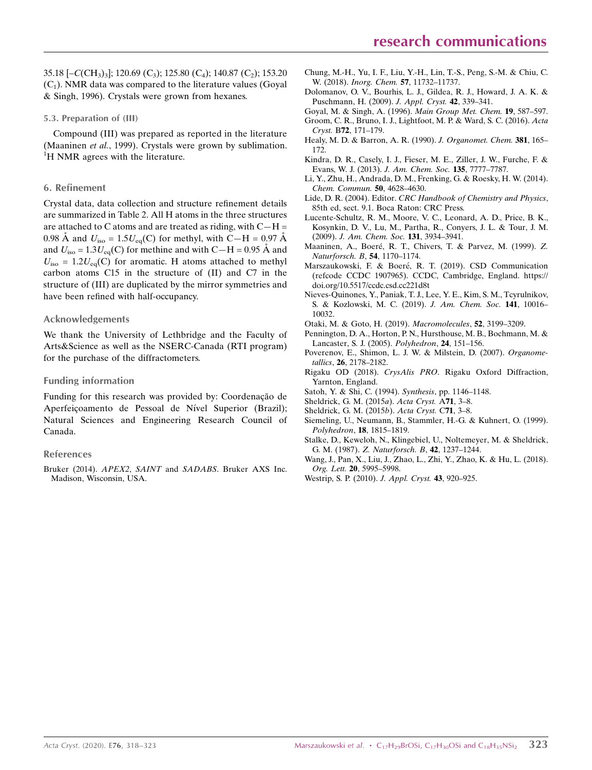35.18  $\left[-C\left(\text{CH}_3\right)_3\right]$ ; 120.69  $\left(\text{C}_3\right)$ ; 125.80  $\left(\text{C}_4\right)$ ; 140.87  $\left(\text{C}_2\right)$ ; 153.20  $(C_1)$ . NMR data was compared to the literature values (Goyal & Singh, 1996). Crystals were grown from hexanes.

#### 5.3. Preparation of (III)

Compound (III) was prepared as reported in the literature (Maaninen et al., 1999). Crystals were grown by sublimation.  ${}^{1}$ H NMR agrees with the literature.

#### 6. Refinement

Crystal data, data collection and structure refinement details are summarized in Table 2. All H atoms in the three structures are attached to C atoms and are treated as riding, with  $C-H =$ 0.98 Å and  $U_{\text{iso}} = 1.5U_{\text{eq}}(C)$  for methyl, with C-H = 0.97 Å and  $U_{\text{iso}} = 1.3 U_{\text{eq}}(C)$  for methine and with C-H = 0.95 Å and  $U_{\text{iso}} = 1.2 U_{\text{eq}}(C)$  for aromatic. H atoms attached to methyl carbon atoms C15 in the structure of (II) and C7 in the structure of (III) are duplicated by the mirror symmetries and have been refined with half-occupancy.

#### Acknowledgements

We thank the University of Lethbridge and the Faculty of Arts&Science as well as the NSERC-Canada (RTI program) for the purchase of the diffractometers.

#### Funding information

Funding for this research was provided by: Coordenação de Aperfeiçoamento de Pessoal de Nível Superior (Brazil); Natural Sciences and Engineering Research Council of Canada.

#### References

Bruker (2014). APEX2, SAINT and SADABS[. Bruker AXS Inc.](http://scripts.iucr.org/cgi-bin/cr.cgi?rm=pdfbb&cnor=hb7886&bbid=BB1) [Madison, Wisconsin, USA.](http://scripts.iucr.org/cgi-bin/cr.cgi?rm=pdfbb&cnor=hb7886&bbid=BB1)

- [Chung, M.-H., Yu, I. F., Liu, Y.-H., Lin, T.-S., Peng, S.-M. & Chiu, C.](http://scripts.iucr.org/cgi-bin/cr.cgi?rm=pdfbb&cnor=hb7886&bbid=BB2) W. (2018). Inorg. Chem. 57[, 11732–11737.](http://scripts.iucr.org/cgi-bin/cr.cgi?rm=pdfbb&cnor=hb7886&bbid=BB2)
- [Dolomanov, O. V., Bourhis, L. J., Gildea, R. J., Howard, J. A. K. &](http://scripts.iucr.org/cgi-bin/cr.cgi?rm=pdfbb&cnor=hb7886&bbid=BB3) [Puschmann, H. \(2009\).](http://scripts.iucr.org/cgi-bin/cr.cgi?rm=pdfbb&cnor=hb7886&bbid=BB3) J. Appl. Cryst. 42, 339–341.
- [Goyal, M. & Singh, A. \(1996\).](http://scripts.iucr.org/cgi-bin/cr.cgi?rm=pdfbb&cnor=hb7886&bbid=BB4) Main Group Met. Chem. 19, 587–597.
- [Groom, C. R., Bruno, I. J., Lightfoot, M. P. & Ward, S. C. \(2016\).](http://scripts.iucr.org/cgi-bin/cr.cgi?rm=pdfbb&cnor=hb7886&bbid=BB5) Acta Cryst. B72[, 171–179.](http://scripts.iucr.org/cgi-bin/cr.cgi?rm=pdfbb&cnor=hb7886&bbid=BB5)
- [Healy, M. D. & Barron, A. R. \(1990\).](http://scripts.iucr.org/cgi-bin/cr.cgi?rm=pdfbb&cnor=hb7886&bbid=BB6) J. Organomet. Chem. 381, 165– [172.](http://scripts.iucr.org/cgi-bin/cr.cgi?rm=pdfbb&cnor=hb7886&bbid=BB6)
- [Kindra, D. R., Casely, I. J., Fieser, M. E., Ziller, J. W., Furche, F. &](http://scripts.iucr.org/cgi-bin/cr.cgi?rm=pdfbb&cnor=hb7886&bbid=BB7) [Evans, W. J. \(2013\).](http://scripts.iucr.org/cgi-bin/cr.cgi?rm=pdfbb&cnor=hb7886&bbid=BB7) J. Am. Chem. Soc. 135, 7777–7787.
- [Li, Y., Zhu, H., Andrada, D. M., Frenking, G. & Roesky, H. W. \(2014\).](http://scripts.iucr.org/cgi-bin/cr.cgi?rm=pdfbb&cnor=hb7886&bbid=BB8) [Chem. Commun.](http://scripts.iucr.org/cgi-bin/cr.cgi?rm=pdfbb&cnor=hb7886&bbid=BB8) 50, 4628–4630.
- Lide, D. R. (2004). Editor. [CRC Handbook of Chemistry and Physics](http://scripts.iucr.org/cgi-bin/cr.cgi?rm=pdfbb&cnor=hb7886&bbid=BB9), [85th ed, sect. 9.1. Boca Raton: CRC Press.](http://scripts.iucr.org/cgi-bin/cr.cgi?rm=pdfbb&cnor=hb7886&bbid=BB9)
- [Lucente-Schultz, R. M., Moore, V. C., Leonard, A. D., Price, B. K.,](http://scripts.iucr.org/cgi-bin/cr.cgi?rm=pdfbb&cnor=hb7886&bbid=BB10) [Kosynkin, D. V., Lu, M., Partha, R., Conyers, J. L. & Tour, J. M.](http://scripts.iucr.org/cgi-bin/cr.cgi?rm=pdfbb&cnor=hb7886&bbid=BB10) (2009). [J. Am. Chem. Soc.](http://scripts.iucr.org/cgi-bin/cr.cgi?rm=pdfbb&cnor=hb7886&bbid=BB10) 131, 3934–3941.
- Maaninen, A., Boeré, R. T., Chivers, T. & Parvez, M. (1999). Z. [Naturforsch. B](http://scripts.iucr.org/cgi-bin/cr.cgi?rm=pdfbb&cnor=hb7886&bbid=BB11), 54, 1170–1174.
- Marszaukowski, F. & Boeré, R. T. (2019). CSD Communication [\(refcode CCDC 1907965\). CCDC, Cambridge, England. https://](http://scripts.iucr.org/cgi-bin/cr.cgi?rm=pdfbb&cnor=hb7886&bbid=BB12) [doi.org/10.5517/ccdc.csd.cc221d8t](http://scripts.iucr.org/cgi-bin/cr.cgi?rm=pdfbb&cnor=hb7886&bbid=BB12)
- [Nieves-Quinones, Y., Paniak, T. J., Lee, Y. E., Kim, S. M., Tcyrulnikov,](http://scripts.iucr.org/cgi-bin/cr.cgi?rm=pdfbb&cnor=hb7886&bbid=BB13) [S. & Kozlowski, M. C. \(2019\).](http://scripts.iucr.org/cgi-bin/cr.cgi?rm=pdfbb&cnor=hb7886&bbid=BB13) J. Am. Chem. Soc. 141, 10016– [10032.](http://scripts.iucr.org/cgi-bin/cr.cgi?rm=pdfbb&cnor=hb7886&bbid=BB13)
- [Otaki, M. & Goto, H. \(2019\).](http://scripts.iucr.org/cgi-bin/cr.cgi?rm=pdfbb&cnor=hb7886&bbid=BB14) Macromolecules, 52, 3199–3209.
- [Pennington, D. A., Horton, P. N., Hursthouse, M. B., Bochmann, M. &](http://scripts.iucr.org/cgi-bin/cr.cgi?rm=pdfbb&cnor=hb7886&bbid=BB15) [Lancaster, S. J. \(2005\).](http://scripts.iucr.org/cgi-bin/cr.cgi?rm=pdfbb&cnor=hb7886&bbid=BB15) Polyhedron, 24, 151–156.
- [Poverenov, E., Shimon, L. J. W. & Milstein, D. \(2007\).](http://scripts.iucr.org/cgi-bin/cr.cgi?rm=pdfbb&cnor=hb7886&bbid=BB16) Organometallics, 26[, 2178–2182.](http://scripts.iucr.org/cgi-bin/cr.cgi?rm=pdfbb&cnor=hb7886&bbid=BB16)
- Rigaku OD (2018). CrysAlis PRO[. Rigaku Oxford Diffraction,](http://scripts.iucr.org/cgi-bin/cr.cgi?rm=pdfbb&cnor=hb7886&bbid=BB17) [Yarnton, England.](http://scripts.iucr.org/cgi-bin/cr.cgi?rm=pdfbb&cnor=hb7886&bbid=BB17)
- [Satoh, Y. & Shi, C. \(1994\).](http://scripts.iucr.org/cgi-bin/cr.cgi?rm=pdfbb&cnor=hb7886&bbid=BB18) Synthesis, pp. 1146–1148.
- [Sheldrick, G. M. \(2015](http://scripts.iucr.org/cgi-bin/cr.cgi?rm=pdfbb&cnor=hb7886&bbid=BB19)a). Acta Cryst. A71, 3–8.
- [Sheldrick, G. M. \(2015](http://scripts.iucr.org/cgi-bin/cr.cgi?rm=pdfbb&cnor=hb7886&bbid=BB20)b). Acta Cryst. C71, 3–8.
- [Siemeling, U., Neumann, B., Stammler, H.-G. & Kuhnert, O. \(1999\).](http://scripts.iucr.org/cgi-bin/cr.cgi?rm=pdfbb&cnor=hb7886&bbid=BB21) Polyhedron, 18[, 1815–1819.](http://scripts.iucr.org/cgi-bin/cr.cgi?rm=pdfbb&cnor=hb7886&bbid=BB21)
- [Stalke, D., Keweloh, N., Klingebiel, U., Noltemeyer, M. & Sheldrick,](http://scripts.iucr.org/cgi-bin/cr.cgi?rm=pdfbb&cnor=hb7886&bbid=BB22) G. M. (1987). [Z. Naturforsch. B](http://scripts.iucr.org/cgi-bin/cr.cgi?rm=pdfbb&cnor=hb7886&bbid=BB22), 42, 1237–1244.
- [Wang, J., Pan, X., Liu, J., Zhao, L., Zhi, Y., Zhao, K. & Hu, L. \(2018\).](http://scripts.iucr.org/cgi-bin/cr.cgi?rm=pdfbb&cnor=hb7886&bbid=BB23) Org. Lett. 20[, 5995–5998.](http://scripts.iucr.org/cgi-bin/cr.cgi?rm=pdfbb&cnor=hb7886&bbid=BB23)
- [Westrip, S. P. \(2010\).](http://scripts.iucr.org/cgi-bin/cr.cgi?rm=pdfbb&cnor=hb7886&bbid=BB24) J. Appl. Cryst. 43, 920–925.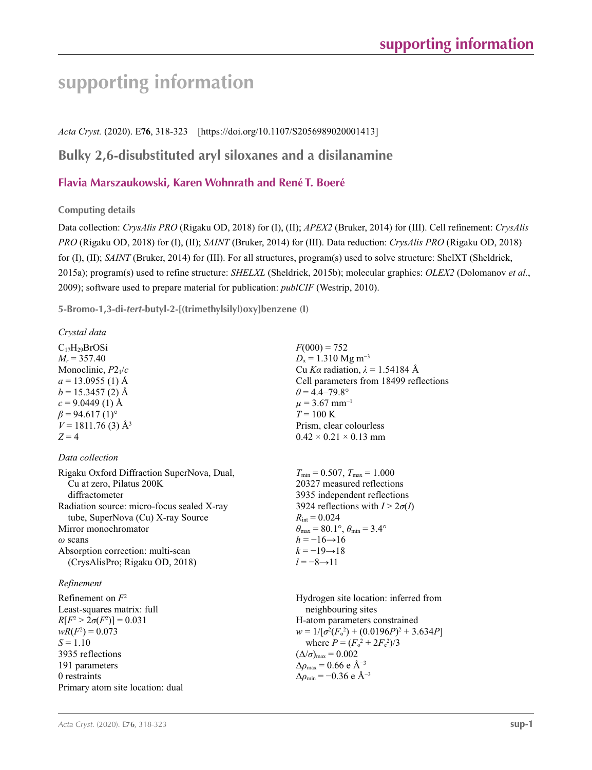# **supporting information**

*Acta Cryst.* (2020). E**76**, 318-323 [https://doi.org/10.1107/S2056989020001413]

## **Bulky 2,6-disubstituted aryl siloxanes and a disilanamine**

## **Flavia Marszaukowski, Karen Wohnrath and René T. Boeré**

**Computing details** 

Data collection: *CrysAlis PRO* (Rigaku OD, 2018) for (I), (II); *APEX2* (Bruker, 2014) for (III). Cell refinement: *CrysAlis PRO* (Rigaku OD, 2018) for (I), (II); *SAINT* (Bruker, 2014) for (III). Data reduction: *CrysAlis PRO* (Rigaku OD, 2018) for (I), (II); *SAINT* (Bruker, 2014) for (III). For all structures, program(s) used to solve structure: ShelXT (Sheldrick, 2015a); program(s) used to refine structure: *SHELXL* (Sheldrick, 2015b); molecular graphics: *OLEX2* (Dolomanov *et al.*, 2009); software used to prepare material for publication: *publCIF* (Westrip, 2010).

**5-Bromo-1,3-di-***tert***-butyl-2-[(trimethylsilyl)oxy]benzene (I)** 

*Crystal data*

 $C_{17}H_{29}BrOSi$  $M_r = 357.40$ Monoclinic, *P*21/*c*  $a = 13.0955$  (1) Å  $b = 15.3457(2)$  Å  $c = 9.0449(1)$  Å  $\beta$  = 94.617 (1)<sup>o</sup>  $V = 1811.76$  (3) Å<sup>3</sup>  $Z = 4$ 

## *Data collection*

Rigaku Oxford Diffraction SuperNova, Dual, Cu at zero, Pilatus 200K diffractometer Radiation source: micro-focus sealed X-ray tube, SuperNova (Cu) X-ray Source Mirror monochromator *ω* scans Absorption correction: multi-scan (CrysAlisPro; Rigaku OD, 2018)

## *Refinement*

Refinement on *F*<sup>2</sup> Least-squares matrix: full  $R[F^2 > 2\sigma(F^2)] = 0.031$  $wR(F^2) = 0.073$  $S = 1.10$ 3935 reflections 191 parameters 0 restraints Primary atom site location: dual  $F(000) = 752$  $D_x = 1.310$  Mg m<sup>-3</sup> Cu *Ka* radiation,  $\lambda = 1.54184 \text{ Å}$ Cell parameters from 18499 reflections  $\theta$  = 4.4–79.8°  $\mu$  = 3.67 mm<sup>-1</sup>  $T = 100 \text{ K}$ Prism, clear colourless  $0.42 \times 0.21 \times 0.13$  mm

 $T_{\text{min}} = 0.507, T_{\text{max}} = 1.000$ 20327 measured reflections 3935 independent reflections 3924 reflections with  $I > 2\sigma(I)$  $R_{\text{int}} = 0.024$  $\theta_{\text{max}} = 80.1^{\circ}, \theta_{\text{min}} = 3.4^{\circ}$  $h = -16 \rightarrow 16$  $k = -19 \rightarrow 18$ *l* = −8→11

Hydrogen site location: inferred from neighbouring sites H-atom parameters constrained  $w = 1/[\sigma^2(F_0^2) + (0.0196P)^2 + 3.634P]$ where  $P = (F_o^2 + 2F_c^2)/3$  $(\Delta/\sigma)_{\text{max}} = 0.002$  $\Delta\rho_{\text{max}} = 0.66$  e Å<sup>-3</sup>  $\Delta\rho_{\text{min}} = -0.36$  e Å<sup>-3</sup>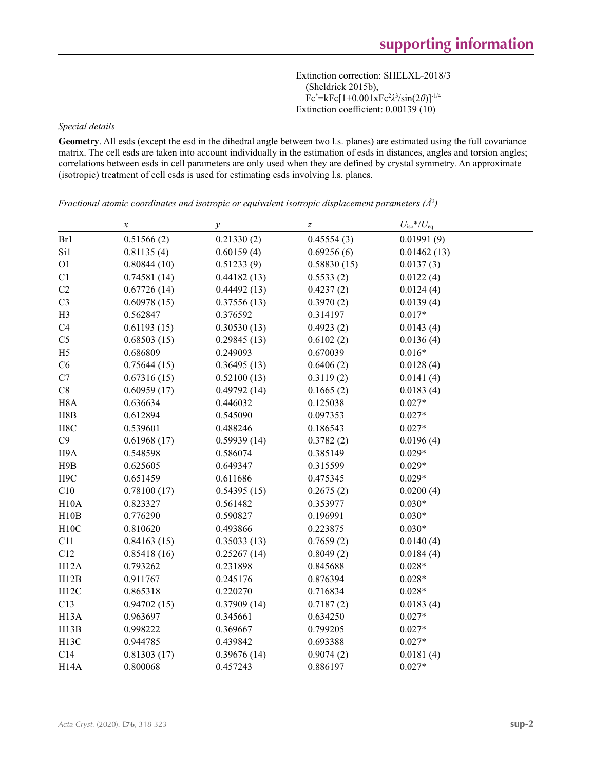Extinction correction: SHELXL-2018/3 (Sheldrick 2015b), Fc\* =kFc[1+0.001xFc2 *λ*3 /sin(2*θ*)]-1/4 Extinction coefficient: 0.00139 (10)

#### *Special details*

**Geometry**. All esds (except the esd in the dihedral angle between two l.s. planes) are estimated using the full covariance matrix. The cell esds are taken into account individually in the estimation of esds in distances, angles and torsion angles; correlations between esds in cell parameters are only used when they are defined by crystal symmetry. An approximate (isotropic) treatment of cell esds is used for estimating esds involving l.s. planes.

|                   | $\boldsymbol{\chi}$ | $\mathcal{Y}$ | $\boldsymbol{Z}$ | $U_{\rm iso}*/U_{\rm eq}$ |
|-------------------|---------------------|---------------|------------------|---------------------------|
| Br1               | 0.51566(2)          | 0.21330(2)    | 0.45554(3)       | 0.01991(9)                |
| Si1               | 0.81135(4)          | 0.60159(4)    | 0.69256(6)       | 0.01462(13)               |
| O <sub>1</sub>    | 0.80844(10)         | 0.51233(9)    | 0.58830(15)      | 0.0137(3)                 |
| C1                | 0.74581(14)         | 0.44182(13)   | 0.5533(2)        | 0.0122(4)                 |
| C2                | 0.67726(14)         | 0.44492(13)   | 0.4237(2)        | 0.0124(4)                 |
| C <sub>3</sub>    | 0.60978(15)         | 0.37556(13)   | 0.3970(2)        | 0.0139(4)                 |
| H3                | 0.562847            | 0.376592      | 0.314197         | $0.017*$                  |
| C4                | 0.61193(15)         | 0.30530(13)   | 0.4923(2)        | 0.0143(4)                 |
| C <sub>5</sub>    | 0.68503(15)         | 0.29845(13)   | 0.6102(2)        | 0.0136(4)                 |
| H <sub>5</sub>    | 0.686809            | 0.249093      | 0.670039         | $0.016*$                  |
| C6                | 0.75644(15)         | 0.36495(13)   | 0.6406(2)        | 0.0128(4)                 |
| C7                | 0.67316(15)         | 0.52100(13)   | 0.3119(2)        | 0.0141(4)                 |
| $\rm{C}8$         | 0.60959(17)         | 0.49792(14)   | 0.1665(2)        | 0.0183(4)                 |
| H <sub>8</sub> A  | 0.636634            | 0.446032      | 0.125038         | $0.027*$                  |
| H8B               | 0.612894            | 0.545090      | 0.097353         | $0.027*$                  |
| H8C               | 0.539601            | 0.488246      | 0.186543         | $0.027*$                  |
| C9                | 0.61968(17)         | 0.59939(14)   | 0.3782(2)        | 0.0196(4)                 |
| H9A               | 0.548598            | 0.586074      | 0.385149         | $0.029*$                  |
| H9B               | 0.625605            | 0.649347      | 0.315599         | $0.029*$                  |
| H <sub>9</sub> C  | 0.651459            | 0.611686      | 0.475345         | $0.029*$                  |
| C10               | 0.78100(17)         | 0.54395(15)   | 0.2675(2)        | 0.0200(4)                 |
| H10A              | 0.823327            | 0.561482      | 0.353977         | $0.030*$                  |
| H10B              | 0.776290            | 0.590827      | 0.196991         | $0.030*$                  |
| H10C              | 0.810620            | 0.493866      | 0.223875         | $0.030*$                  |
| C11               | 0.84163(15)         | 0.35033(13)   | 0.7659(2)        | 0.0140(4)                 |
| C12               | 0.85418(16)         | 0.25267(14)   | 0.8049(2)        | 0.0184(4)                 |
| H12A              | 0.793262            | 0.231898      | 0.845688         | $0.028*$                  |
| H12B              | 0.911767            | 0.245176      | 0.876394         | $0.028*$                  |
| H12C              | 0.865318            | 0.220270      | 0.716834         | $0.028*$                  |
| C13               | 0.94702(15)         | 0.37909(14)   | 0.7187(2)        | 0.0183(4)                 |
| H <sub>13</sub> A | 0.963697            | 0.345661      | 0.634250         | $0.027*$                  |
| H13B              | 0.998222            | 0.369667      | 0.799205         | $0.027*$                  |
| H <sub>13</sub> C | 0.944785            | 0.439842      | 0.693388         | $0.027*$                  |
| C14               | 0.81303(17)         | 0.39676(14)   | 0.9074(2)        | 0.0181(4)                 |
| H <sub>14</sub> A | 0.800068            | 0.457243      | 0.886197         | $0.027*$                  |

*Fractional atomic coordinates and isotropic or equivalent isotropic displacement parameters (Å2 )*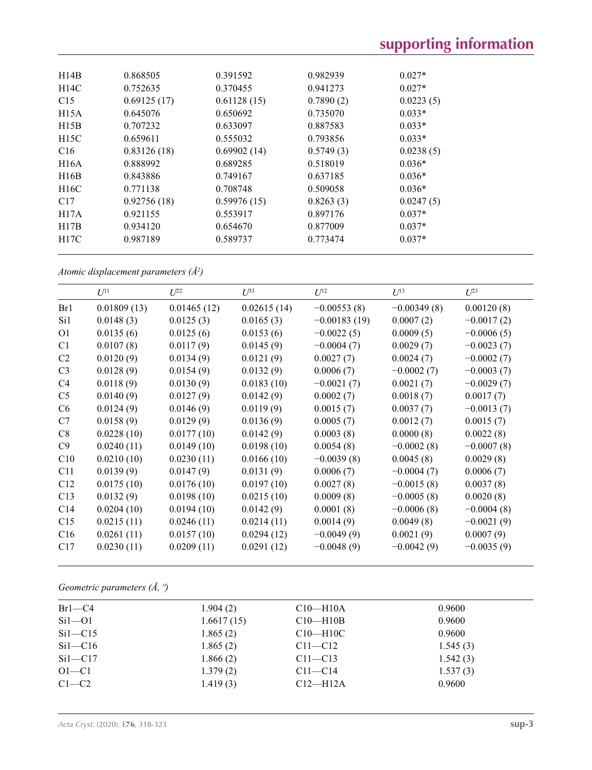| H14B | 0.868505    | 0.391592    | 0.982939  | $0.027*$  |  |
|------|-------------|-------------|-----------|-----------|--|
| H14C | 0.752635    | 0.370455    | 0.941273  | $0.027*$  |  |
| C15  | 0.69125(17) | 0.61128(15) | 0.7890(2) | 0.0223(5) |  |
| H15A | 0.645076    | 0.650692    | 0.735070  | $0.033*$  |  |
| H15B | 0.707232    | 0.633097    | 0.887583  | $0.033*$  |  |
| H15C | 0.659611    | 0.555032    | 0.793856  | $0.033*$  |  |
| C16  | 0.83126(18) | 0.69902(14) | 0.5749(3) | 0.0238(5) |  |
| H16A | 0.888992    | 0.689285    | 0.518019  | $0.036*$  |  |
| H16B | 0.843886    | 0.749167    | 0.637185  | $0.036*$  |  |
| H16C | 0.771138    | 0.708748    | 0.509058  | $0.036*$  |  |
| C17  | 0.92756(18) | 0.59976(15) | 0.8263(3) | 0.0247(5) |  |
| H17A | 0.921155    | 0.553917    | 0.897176  | $0.037*$  |  |
| H17B | 0.934120    | 0.654670    | 0.877009  | $0.037*$  |  |
| H17C | 0.987189    | 0.589737    | 0.773474  | $0.037*$  |  |
|      |             |             |           |           |  |

*Atomic displacement parameters (Å2 )*

|                | $U^{11}$    | $L^{22}$    | $\mathcal{L}^{\beta 3}$ | $U^{12}$       | $U^{13}$      | $U^{23}$     |
|----------------|-------------|-------------|-------------------------|----------------|---------------|--------------|
| Br1            | 0.01809(13) | 0.01465(12) | 0.02615(14)             | $-0.00553(8)$  | $-0.00349(8)$ | 0.00120(8)   |
| Si1            | 0.0148(3)   | 0.0125(3)   | 0.0165(3)               | $-0.00183(19)$ | 0.0007(2)     | $-0.0017(2)$ |
| O <sub>1</sub> | 0.0135(6)   | 0.0125(6)   | 0.0153(6)               | $-0.0022(5)$   | 0.0009(5)     | $-0.0006(5)$ |
| C <sub>1</sub> | 0.0107(8)   | 0.0117(9)   | 0.0145(9)               | $-0.0004(7)$   | 0.0029(7)     | $-0.0023(7)$ |
| C <sub>2</sub> | 0.0120(9)   | 0.0134(9)   | 0.0121(9)               | 0.0027(7)      | 0.0024(7)     | $-0.0002(7)$ |
| C <sub>3</sub> | 0.0128(9)   | 0.0154(9)   | 0.0132(9)               | 0.0006(7)      | $-0.0002(7)$  | $-0.0003(7)$ |
| C4             | 0.0118(9)   | 0.0130(9)   | 0.0183(10)              | $-0.0021(7)$   | 0.0021(7)     | $-0.0029(7)$ |
| C <sub>5</sub> | 0.0140(9)   | 0.0127(9)   | 0.0142(9)               | 0.0002(7)      | 0.0018(7)     | 0.0017(7)    |
| C <sub>6</sub> | 0.0124(9)   | 0.0146(9)   | 0.0119(9)               | 0.0015(7)      | 0.0037(7)     | $-0.0013(7)$ |
| C7             | 0.0158(9)   | 0.0129(9)   | 0.0136(9)               | 0.0005(7)      | 0.0012(7)     | 0.0015(7)    |
| C8             | 0.0228(10)  | 0.0177(10)  | 0.0142(9)               | 0.0003(8)      | 0.0000(8)     | 0.0022(8)    |
| C9             | 0.0240(11)  | 0.0149(10)  | 0.0198(10)              | 0.0054(8)      | $-0.0002(8)$  | $-0.0007(8)$ |
| C10            | 0.0210(10)  | 0.0230(11)  | 0.0166(10)              | $-0.0039(8)$   | 0.0045(8)     | 0.0029(8)    |
| C11            | 0.0139(9)   | 0.0147(9)   | 0.0131(9)               | 0.0006(7)      | $-0.0004(7)$  | 0.0006(7)    |
| C12            | 0.0175(10)  | 0.0176(10)  | 0.0197(10)              | 0.0027(8)      | $-0.0015(8)$  | 0.0037(8)    |
| C13            | 0.0132(9)   | 0.0198(10)  | 0.0215(10)              | 0.0009(8)      | $-0.0005(8)$  | 0.0020(8)    |
| C14            | 0.0204(10)  | 0.0194(10)  | 0.0142(9)               | 0.0001(8)      | $-0.0006(8)$  | $-0.0004(8)$ |
| C15            | 0.0215(11)  | 0.0246(11)  | 0.0214(11)              | 0.0014(9)      | 0.0049(8)     | $-0.0021(9)$ |
| C16            | 0.0261(11)  | 0.0157(10)  | 0.0294(12)              | $-0.0049(9)$   | 0.0021(9)     | 0.0007(9)    |
| C17            | 0.0230(11)  | 0.0209(11)  | 0.0291(12)              | $-0.0048(9)$   | $-0.0042(9)$  | $-0.0035(9)$ |

*Geometric parameters (Å, º)*

| $Br1-C4$    | 1.904(2)   | $C10-H10A$     | 0.9600   |  |
|-------------|------------|----------------|----------|--|
| $Si1 - O1$  | 1.6617(15) | $C10$ —H $10B$ | 0.9600   |  |
| $Si1 - C15$ | 1.865(2)   | $C10$ —H $10C$ | 0.9600   |  |
| $Si1 - C16$ | 1.865(2)   | $C11 - C12$    | 1.545(3) |  |
| $Si1 - C17$ | 1.866(2)   | $C11 - C13$    | 1.542(3) |  |
| $O1-C1$     | 1.379(2)   | $C11 - C14$    | 1.537(3) |  |
| $C1-C2$     | 1.419(3)   | $C12-H12A$     | 0.9600   |  |
|             |            |                |          |  |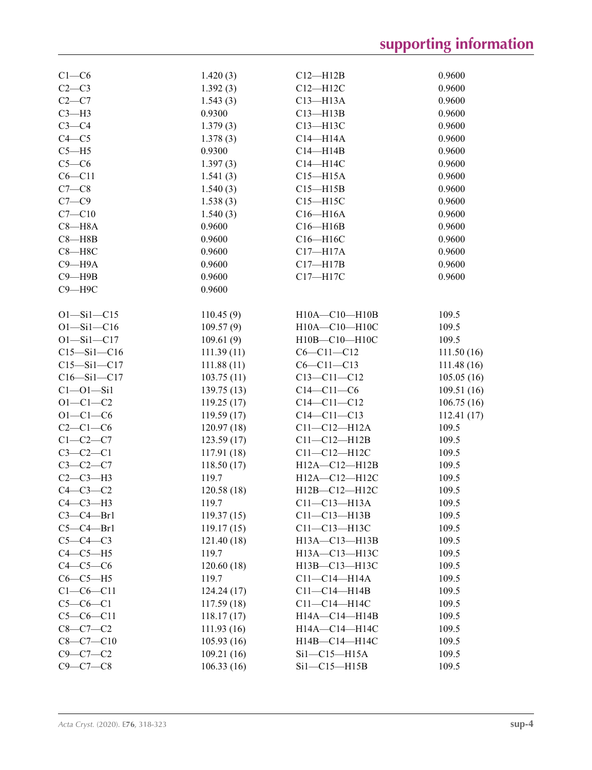| $C1-C6$           | 1.420(3)    | $C12-H12B$          | 0.9600     |
|-------------------|-------------|---------------------|------------|
| $C2-C3$           | 1.392(3)    | $C12 - H12C$        | 0.9600     |
| $C2-C7$           | 1.543(3)    | $C13 - H13A$        | 0.9600     |
| $C3-H3$           | 0.9300      | $C13 - H13B$        | 0.9600     |
| $C3-C4$           | 1.379(3)    | C13-H13C            | 0.9600     |
| $C4 - C5$         | 1.378(3)    | $C14 - H14A$        | 0.9600     |
| $C5 - H5$         | 0.9300      | $C14 - H14B$        | 0.9600     |
| $C5-C6$           | 1.397(3)    | $C14 - H14C$        | 0.9600     |
| $C6 - C11$        | 1.541(3)    | $C15 - H15A$        | 0.9600     |
| $C7-C8$           | 1.540(3)    | $C15 - H15B$        | 0.9600     |
| $C7-C9$           | 1.538(3)    | $C15 - H15C$        | 0.9600     |
| $C7 - C10$        | 1.540(3)    | $C16 - H16A$        | 0.9600     |
| $C8 - H8A$        | 0.9600      | $C16 - H16B$        | 0.9600     |
| $C8 - H8B$        | 0.9600      | C16-H16C            | 0.9600     |
| $C8 - H8C$        | 0.9600      | $C17 - H17A$        | 0.9600     |
| $C9 - H9A$        | 0.9600      | $C17 - H17B$        | 0.9600     |
| $C9 - H9B$        | 0.9600      | C17-H17C            | 0.9600     |
| $C9 - H9C$        | 0.9600      |                     |            |
|                   |             |                     |            |
|                   |             |                     | 109.5      |
| $O1 - Si1 - C15$  | 110.45(9)   | $H10A - C10 - H10B$ |            |
| $O1 - Si1 - C16$  | 109.57(9)   | H10A-C10-H10C       | 109.5      |
| $O1 - Si1 - C17$  | 109.61(9)   | H10B-C10-H10C       | 109.5      |
| $C15 - Si1 - C16$ | 111.39(11)  | $C6 - C11 - C12$    | 111.50(16) |
| $C15 - Si1 - C17$ | 111.88(11)  | $C6 - C11 - C13$    | 111.48(16) |
| $C16 - Si1 - C17$ | 103.75(11)  | $C13 - C11 - C12$   | 105.05(16) |
| $C1 - 01 - Si1$   | 139.75(13)  | $C14 - C11 - C6$    | 109.51(16) |
| $O1 - C1 - C2$    | 119.25(17)  | $C14 - C11 - C12$   | 106.75(16) |
| $O1 - C1 - C6$    | 119.59(17)  | $C14 - C11 - C13$   | 112.41(17) |
| $C2-C1-C6$        | 120.97(18)  | $C11-C12-H12A$      | 109.5      |
| $C1-C2-C7$        | 123.59(17)  | $C11-C12-H12B$      | 109.5      |
| $C3-C2-C1$        | 117.91 (18) | $C11 - C12 - H12C$  | 109.5      |
| $C3-C2-C7$        | 118.50(17)  | H12A-C12-H12B       | 109.5      |
| $C2-C3-H3$        | 119.7       | H12A-C12-H12C       | 109.5      |
| $C4-C3-C2$        | 120.58(18)  | H12B-C12-H12C       | 109.5      |
| $C4-C3-H3$        | 119.7       | $C11-C13-H13A$      | 109.5      |
| $C3-C4-Br1$       | 119.37(15)  | $C11-C13-H13B$      | 109.5      |
| $C5-C4-Br1$       | 119.17(15)  | $C11-C13-H13C$      | 109.5      |
| $C5-C4-C3$        | 121.40(18)  | H13A-C13-H13B       | 109.5      |
| $C4-C5-H5$        | 119.7       | H13A-C13-H13C       | 109.5      |
| $C4-C5-C6$        | 120.60(18)  | H13B-C13-H13C       | 109.5      |
| $C6-C5-H5$        | 119.7       | $C11-C14-H14A$      | 109.5      |
|                   |             | $C11-C14-H14B$      |            |
| $C1 - C6 - C11$   | 124.24 (17) |                     | 109.5      |
| $C5-C6-C1$        | 117.59 (18) | C11-C14-H14C        | 109.5      |
| $C5-C6-C11$       | 118.17(17)  | H14A-C14-H14B       | 109.5      |
| $C8 - C7 - C2$    | 111.93(16)  | H14A-C14-H14C       | 109.5      |
| $C8-C7-C10$       | 105.93(16)  | H14B-C14-H14C       | 109.5      |
| $C9 - C7 - C2$    | 109.21(16)  | $Si1-C15-H15A$      | 109.5      |
| $C9 - C7 - C8$    | 106.33(16)  | $Si1-C15-H15B$      | 109.5      |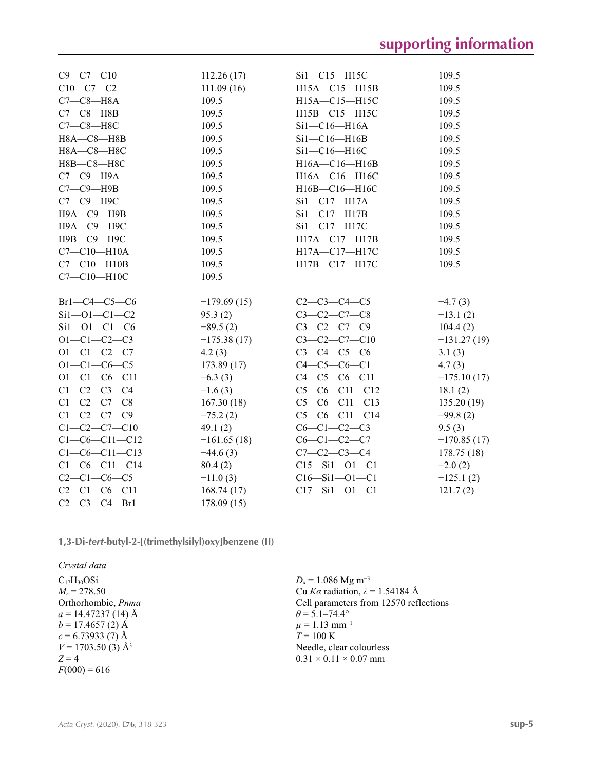| $C9 - C7 - C10$       | 112.26(17)    | $Si1-C15-H15C$        | 109.5         |
|-----------------------|---------------|-----------------------|---------------|
| $C10-C7-C2$           | 111.09(16)    | $H15A - C15 - H15B$   | 109.5         |
| $C7-C8-H8A$           | 109.5         | H15A-C15-H15C         | 109.5         |
| $C7-C8-$ H8B          | 109.5         | H15B-C15-H15C         | 109.5         |
| $C7-C8-H8C$           | 109.5         | $Si1-C16-H16A$        | 109.5         |
| $H8A - C8 - H8B$      | 109.5         | $Si1-C16-H16B$        | 109.5         |
| Н8А-С8-Н8С            | 109.5         | Si1-C16-H16C          | 109.5         |
| Н8В-С8-Н8С            | 109.5         | H16A-C16-H16B         | 109.5         |
| $C7-C9-H9A$           | 109.5         | H16A-C16-H16C         | 109.5         |
| $C7-C9-$ H9B          | 109.5         | H16B-C16-H16C         | 109.5         |
| С7-С9-Н9С             | 109.5         | $Si1-C17-H17A$        | 109.5         |
| Н9А-С9-Н9В            | 109.5         | $Si1-C17-H17B$        | 109.5         |
| Н9А-С9-Н9С            | 109.5         | Si1-C17-H17C          | 109.5         |
| Н9В-С9-Н9С            | 109.5         | $H17A - C17 - H17B$   | 109.5         |
| $C7-C10-H10A$         | 109.5         | H17A-C17-H17C         | 109.5         |
| $C7-C10-H10B$         | 109.5         | H17B-C17-H17C         | 109.5         |
| C7-C10-H10C           | 109.5         |                       |               |
|                       |               |                       |               |
| $Br1-C4-C5-C6$        | $-179.69(15)$ | $C2 - C3 - C4 - C5$   | $-4.7(3)$     |
| $Si1 - O1 - Cl - C2$  | 95.3(2)       | $C3 - C2 - C7 - C8$   | $-13.1(2)$    |
| $Si1 - O1 - Cl - C6$  | $-89.5(2)$    | $C3 - C2 - C7 - C9$   | 104.4(2)      |
| $O1 - C1 - C2 - C3$   | $-175.38(17)$ | $C3 - C2 - C7 - C10$  | $-131.27(19)$ |
| $O1 - C1 - C2 - C7$   | 4.2(3)        | $C3 - C4 - C5 - C6$   | 3.1(3)        |
| $O1 - C1 - C6 - C5$   | 173.89(17)    | $C4 - C5 - C6 - C1$   | 4.7(3)        |
| $O1 - C1 - C6 - C11$  | $-6.3(3)$     | $C4 - C5 - C6 - C11$  | $-175.10(17)$ |
| $C1 - C2 - C3 - C4$   | $-1.6(3)$     | $C5-C6-C11-C12$       | 18.1(2)       |
| $C1 - C2 - C7 - C8$   | 167.30(18)    | $C5-C6-C11-C13$       | 135.20 (19)   |
| $C1 - C2 - C7 - C9$   | $-75.2(2)$    | $C5-C6-C11-C14$       | $-99.8(2)$    |
| $C1 - C2 - C7 - C10$  | 49.1 $(2)$    | $C6-C1-C2-C3$         | 9.5(3)        |
| $C1-C6-C11-C12$       | $-161.65(18)$ | $C6 - C1 - C2 - C7$   | $-170.85(17)$ |
| $C1 - C6 - C11 - C13$ | $-44.6(3)$    | $C7 - C2 - C3 - C4$   | 178.75(18)    |
| $C1 - C6 - C11 - C14$ | 80.4(2)       | $C15 - Si1 - O1 - C1$ | $-2.0(2)$     |
| $C2 - C1 - C6 - C5$   | $-11.0(3)$    | $C16 - Si1 - O1 - C1$ | $-125.1(2)$   |
| $C2 - C1 - C6 - C11$  | 168.74(17)    | $C17 - Si1 - O1 - C1$ | 121.7(2)      |
| $C2-C3-C4$ –Brl       | 178.09(15)    |                       |               |

**1,3-Di-***tert***-butyl-2-[(trimethylsilyl)oxy]benzene (II)** 

*Crystal data*

 $C_{17}H_{30}OSi$  $M_r = 278.50$ Orthorhombic, *Pnma*  $a = 14.47237(14)$  Å  $b = 17.4657(2)$  Å  $c = 6.73933(7)$  Å  $V = 1703.50$  (3) Å<sup>3</sup>  $Z = 4$  $F(000) = 616$ 

*D*<sub>x</sub> = 1.086 Mg m<sup>−3</sup> Cu *Kα* radiation, *λ* = 1.54184 Å Cell parameters from 12570 reflections  $\theta$  = 5.1–74.4°  $\mu$  = 1.13 mm<sup>-1</sup>  $T = 100 \text{ K}$ Needle, clear colourless  $0.31 \times 0.11 \times 0.07$  mm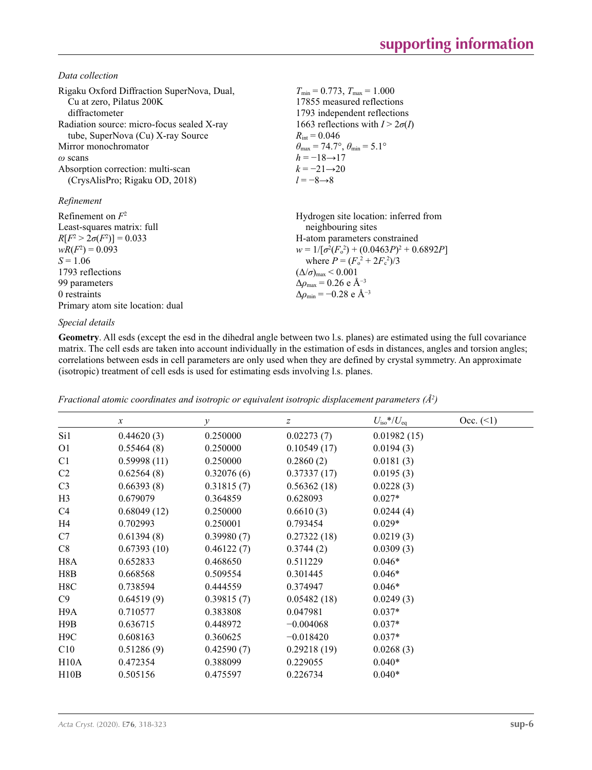*Data collection*

| Rigaku Oxford Diffraction SuperNova, Dual,<br>Cu at zero, Pilatus 200K<br>diffractometer | $T_{\min} = 0.773$ , $T_{\max} = 1.000$<br>17855 measured reflections<br>1793 independent reflections |
|------------------------------------------------------------------------------------------|-------------------------------------------------------------------------------------------------------|
| Radiation source: micro-focus sealed X-ray<br>tube, SuperNova (Cu) X-ray Source          | 1663 reflections with $I > 2\sigma(I)$<br>$R_{\text{int}} = 0.046$                                    |
| Mirror monochromator                                                                     | $\theta_{\text{max}} = 74.7^{\circ}, \theta_{\text{min}} = 5.1^{\circ}$                               |
| $\omega$ scans                                                                           | $h = -18 \rightarrow 17$                                                                              |
| Absorption correction: multi-scan                                                        | $k = -21 \rightarrow 20$                                                                              |
| (CrysAlisPro; Rigaku OD, 2018)                                                           | $l = -8 \rightarrow 8$                                                                                |
| Refinement                                                                               |                                                                                                       |
| Refinement on $F^2$                                                                      | Hydrogen site location: inferred from                                                                 |
| Least-squares matrix: full                                                               | neighbouring sites                                                                                    |
| $R[F^2 > 2\sigma(F^2)] = 0.033$                                                          | H-atom parameters constrained                                                                         |
| $wR(F^2) = 0.093$                                                                        | $w = 1/[\sigma^2(F_0^2) + (0.0463P)^2 + 0.6892P]$                                                     |
| $S = 1.06$                                                                               | where $P = (F_o^2 + 2F_s^2)/3$                                                                        |
| 1793 reflections                                                                         | $(\Delta/\sigma)_{\text{max}}$ < 0.001                                                                |
| 99 parameters                                                                            | $\Delta\rho_{\rm max}$ = 0.26 e Å <sup>-3</sup>                                                       |

## *Special details*

Primary atom site location: dual

0 restraints

**Geometry**. All esds (except the esd in the dihedral angle between two l.s. planes) are estimated using the full covariance matrix. The cell esds are taken into account individually in the estimation of esds in distances, angles and torsion angles; correlations between esds in cell parameters are only used when they are defined by crystal symmetry. An approximate (isotropic) treatment of cell esds is used for estimating esds involving l.s. planes.

 $\Delta \rho_{\text{min}} = -0.28 \text{ e A}^{-3}$ 

|                  | $\mathcal{X}$ | $\mathcal{Y}$ | $\boldsymbol{Z}$ | $U_{\rm iso}$ */ $U_{\rm eq}$ | Occ. (2) |
|------------------|---------------|---------------|------------------|-------------------------------|----------|
| Si1              | 0.44620(3)    | 0.250000      | 0.02273(7)       | 0.01982(15)                   |          |
| <b>O1</b>        | 0.55464(8)    | 0.250000      | 0.10549(17)      | 0.0194(3)                     |          |
| C <sub>1</sub>   | 0.59998(11)   | 0.250000      | 0.2860(2)        | 0.0181(3)                     |          |
| C <sub>2</sub>   | 0.62564(8)    | 0.32076(6)    | 0.37337(17)      | 0.0195(3)                     |          |
| C <sub>3</sub>   | 0.66393(8)    | 0.31815(7)    | 0.56362(18)      | 0.0228(3)                     |          |
| H <sub>3</sub>   | 0.679079      | 0.364859      | 0.628093         | $0.027*$                      |          |
| C <sub>4</sub>   | 0.68049(12)   | 0.250000      | 0.6610(3)        | 0.0244(4)                     |          |
| H4               | 0.702993      | 0.250001      | 0.793454         | $0.029*$                      |          |
| C7               | 0.61394(8)    | 0.39980(7)    | 0.27322(18)      | 0.0219(3)                     |          |
| C8               | 0.67393(10)   | 0.46122(7)    | 0.3744(2)        | 0.0309(3)                     |          |
| H <sub>8</sub> A | 0.652833      | 0.468650      | 0.511229         | $0.046*$                      |          |
| H8B              | 0.668568      | 0.509554      | 0.301445         | $0.046*$                      |          |
| H8C              | 0.738594      | 0.444559      | 0.374947         | $0.046*$                      |          |
| C9               | 0.64519(9)    | 0.39815(7)    | 0.05482(18)      | 0.0249(3)                     |          |
| H <sub>9</sub> A | 0.710577      | 0.383808      | 0.047981         | $0.037*$                      |          |
| H9B              | 0.636715      | 0.448972      | $-0.004068$      | $0.037*$                      |          |
| H <sub>9</sub> C | 0.608163      | 0.360625      | $-0.018420$      | $0.037*$                      |          |
| C10              | 0.51286(9)    | 0.42590(7)    | 0.29218(19)      | 0.0268(3)                     |          |
| H10A             | 0.472354      | 0.388099      | 0.229055         | $0.040*$                      |          |
| H10B             | 0.505156      | 0.475597      | 0.226734         | $0.040*$                      |          |

*Fractional atomic coordinates and isotropic or equivalent isotropic displacement parameters (Å2 )*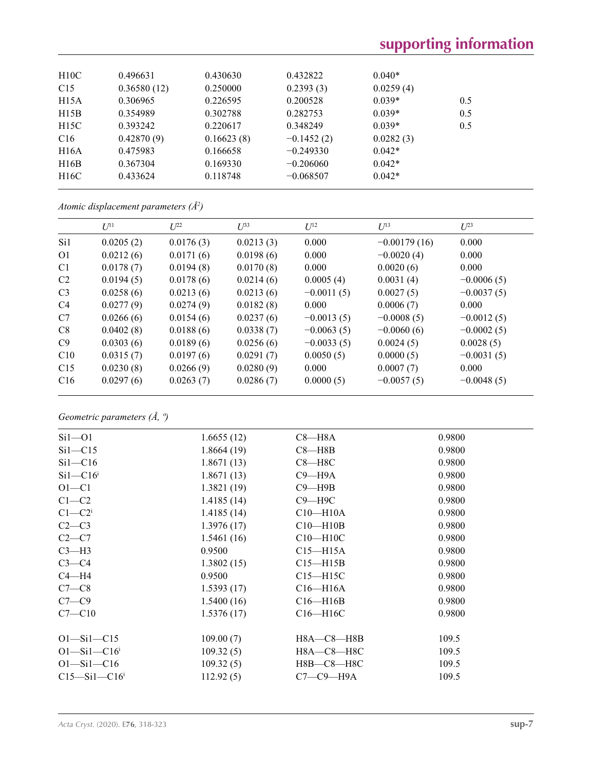# **supporting information**

| H10C | 0.496631    | 0.430630   | 0.432822     | $0.040*$  |     |  |
|------|-------------|------------|--------------|-----------|-----|--|
| C15  | 0.36580(12) | 0.250000   | 0.2393(3)    | 0.0259(4) |     |  |
| H15A | 0.306965    | 0.226595   | 0.200528     | $0.039*$  | 0.5 |  |
| H15B | 0.354989    | 0.302788   | 0.282753     | $0.039*$  | 0.5 |  |
| H15C | 0.393242    | 0.220617   | 0.348249     | $0.039*$  | 0.5 |  |
| C16  | 0.42870(9)  | 0.16623(8) | $-0.1452(2)$ | 0.0282(3) |     |  |
| H16A | 0.475983    | 0.166658   | $-0.249330$  | $0.042*$  |     |  |
| H16B | 0.367304    | 0.169330   | $-0.206060$  | $0.042*$  |     |  |
| H16C | 0.433624    | 0.118748   | $-0.068507$  | $0.042*$  |     |  |
|      |             |            |              |           |     |  |

*Atomic displacement parameters (Å2 )*

|                | $U^{11}$  | $L^{22}$  | $\overline{L^{33}}$ | I/I <sup>2</sup> | $U^{13}$       | $U^{23}$     |
|----------------|-----------|-----------|---------------------|------------------|----------------|--------------|
| Si1            | 0.0205(2) | 0.0176(3) | 0.0213(3)           | 0.000            | $-0.00179(16)$ | 0.000        |
| $\Omega$       | 0.0212(6) | 0.0171(6) | 0.0198(6)           | 0.000            | $-0.0020(4)$   | 0.000        |
| C <sub>1</sub> | 0.0178(7) | 0.0194(8) | 0.0170(8)           | 0.000            | 0.0020(6)      | 0.000        |
| C <sub>2</sub> | 0.0194(5) | 0.0178(6) | 0.0214(6)           | 0.0005(4)        | 0.0031(4)      | $-0.0006(5)$ |
| C <sub>3</sub> | 0.0258(6) | 0.0213(6) | 0.0213(6)           | $-0.0011(5)$     | 0.0027(5)      | $-0.0037(5)$ |
| C <sub>4</sub> | 0.0277(9) | 0.0274(9) | 0.0182(8)           | 0.000            | 0.0006(7)      | 0.000        |
| C7             | 0.0266(6) | 0.0154(6) | 0.0237(6)           | $-0.0013(5)$     | $-0.0008(5)$   | $-0.0012(5)$ |
| C8             | 0.0402(8) | 0.0188(6) | 0.0338(7)           | $-0.0063(5)$     | $-0.0060(6)$   | $-0.0002(5)$ |
| C9             | 0.0303(6) | 0.0189(6) | 0.0256(6)           | $-0.0033(5)$     | 0.0024(5)      | 0.0028(5)    |
| C10            | 0.0315(7) | 0.0197(6) | 0.0291(7)           | 0.0050(5)        | 0.0000(5)      | $-0.0031(5)$ |
| C15            | 0.0230(8) | 0.0266(9) | 0.0280(9)           | 0.000            | 0.0007(7)      | 0.000        |
| C16            | 0.0297(6) | 0.0263(7) | 0.0286(7)           | 0.0000(5)        | $-0.0057(5)$   | $-0.0048(5)$ |
|                |           |           |                     |                  |                |              |

*Geometric parameters (Å, º)*

| $Si1 - O1$               | 1.6655(12) | $C8 - H8A$       | 0.9800 |  |
|--------------------------|------------|------------------|--------|--|
| $Si1 - C15$              | 1.8664(19) | $C8 - H8B$       | 0.9800 |  |
| $Si1 - C16$              | 1.8671(13) | $C8 - H8C$       | 0.9800 |  |
| $Si1 - C16$ <sup>i</sup> | 1.8671(13) | $C9 - H9A$       | 0.9800 |  |
| $O1 - C1$                | 1.3821(19) | $C9 - H9B$       | 0.9800 |  |
| $C1-C2$                  | 1.4185(14) | $C9 - H9C$       | 0.9800 |  |
| $C1-C2$ <sup>i</sup>     | 1.4185(14) | $C10 - H10A$     | 0.9800 |  |
| $C2-C3$                  | 1.3976(17) | $C10 - H10B$     | 0.9800 |  |
| $C2-C7$                  | 1.5461(16) | $C10 - H10C$     | 0.9800 |  |
| $C3-H3$                  | 0.9500     | $C15 - H15A$     | 0.9800 |  |
| $C3-C4$                  | 1.3802(15) | $C15 - H15B$     | 0.9800 |  |
| $C4 - H4$                | 0.9500     | $C15 - H15C$     | 0.9800 |  |
| $C7-C8$                  | 1.5393(17) | $C16 - H16A$     | 0.9800 |  |
| $C7-C9$                  | 1.5400(16) | $C16 - H16B$     | 0.9800 |  |
| $C7 - C10$               | 1.5376(17) | $C16 - H16C$     | 0.9800 |  |
|                          |            |                  |        |  |
| $O1 - Si1 - C15$         | 109.00(7)  | $H8A - C8 - H8B$ | 109.5  |  |
| $O1 - Si1 - Cl6$         | 109.32(5)  | H8A-C8-H8C       | 109.5  |  |
| $O1 - Si1 - C16$         | 109.32(5)  | H8B-C8-H8C       | 109.5  |  |
| $C15 - Si1 - C16$        | 112.92(5)  | $C7-C9-H9A$      | 109.5  |  |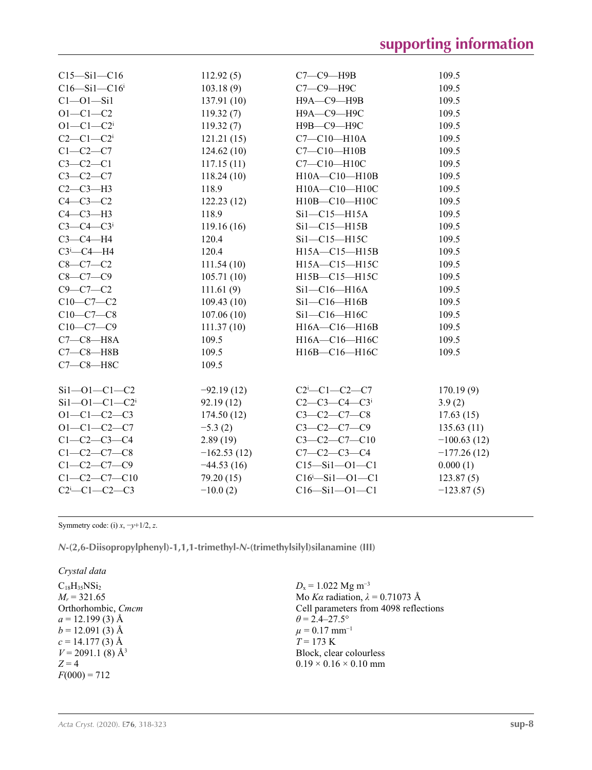| $C15 - Si1 - C16$                      | 112.92(5)     | $C7-C9-$ H9B                           | 109.5         |
|----------------------------------------|---------------|----------------------------------------|---------------|
| $C16 - Si1 - C16$                      | 103.18(9)     | С7-С9-Н9С                              | 109.5         |
| $C1 - 01 - Si1$                        | 137.91 (10)   | Н9А-С9-Н9В                             | 109.5         |
| $O1 - C1 - C2$                         | 119.32(7)     | Н9А-С9-Н9С                             | 109.5         |
| $O1 - C1 - C2$ <sup>i</sup>            | 119.32(7)     | Н9В-С9-Н9С                             | 109.5         |
| $C2-C1-C2$ <sup>i</sup>                | 121.21(15)    | $C7-C10-H10A$                          | 109.5         |
| $C1-C2-C7$                             | 124.62(10)    | $C7-C10-H10B$                          | 109.5         |
| $C3-C2-C1$                             | 117.15(11)    | C7-C10-H10C                            | 109.5         |
| $C3-C2-C7$                             | 118.24(10)    | H10A-C10-H10B                          | 109.5         |
| $C2-C3-H3$                             | 118.9         | H10A-C10-H10C                          | 109.5         |
| $C4-C3-C2$                             | 122.23(12)    | H10B-C10-H10C                          | 109.5         |
| $C4 - C3 - H3$                         | 118.9         | $Si1-C15-H15A$                         | 109.5         |
| $C3-C4-C3$ <sup>i</sup>                | 119.16(16)    | $Si1-C15-H15B$                         | 109.5         |
| $C3-C4-H4$                             | 120.4         | $Si1-C15-H15C$                         | 109.5         |
| $C3$ <sup>i</sup> - $C4$ -H4           | 120.4         | H15A-C15-H15B                          | 109.5         |
| $C8 - C7 - C2$                         | 111.54(10)    | H15A-C15-H15C                          | 109.5         |
| $C8-C7-C9$                             | 105.71(10)    | H15B-C15-H15C                          | 109.5         |
| $C9 - C7 - C2$                         | 111.61(9)     | $Si1-C16-H16A$                         | 109.5         |
| $C10-C7-C2$                            | 109.43(10)    | $Si1-C16-H16B$                         | 109.5         |
| $C10-C7-C8$                            | 107.06(10)    | Si1-C16-H16C                           | 109.5         |
| $C10-C7-C9$                            | 111.37(10)    | H16A-C16-H16B                          | 109.5         |
| $C7-C8-H8A$                            | 109.5         | H16A-C16-H16C                          | 109.5         |
| $C7-C8-HBB$                            | 109.5         | H16B-C16-H16C                          | 109.5         |
| $C7-C8-H8C$                            | 109.5         |                                        |               |
| $Si1 - O1 - Cl - C2$                   | $-92.19(12)$  | $C2$ <sup>i</sup> - $C1$ - $C2$ - $C7$ | 170.19(9)     |
| $Si1 - O1 - C1 - C2$                   | 92.19(12)     | $C2 - C3 - C4 - C3$ <sup>i</sup>       | 3.9(2)        |
| $O1 - C1 - C2 - C3$                    | 174.50(12)    | $C3 - C2 - C7 - C8$                    | 17.63(15)     |
| $O1 - C1 - C2 - C7$                    | $-5.3(2)$     | $C3 - C2 - C7 - C9$                    | 135.63(11)    |
| $C1 - C2 - C3 - C4$                    | 2.89(19)      | $C3-C2-C7-C10$                         | $-100.63(12)$ |
| $C1 - C2 - C7 - C8$                    | $-162.53(12)$ | $C7 - C2 - C3 - C4$                    | $-177.26(12)$ |
| $C1 - C2 - C7 - C9$                    | $-44.53(16)$  | $C15 - Si1 - O1 - C1$                  | 0.000(1)      |
| $C1 - C2 - C7 - C10$                   | 79.20 (15)    | $C16$ <sup>i</sup> -Si1- $O1$ -C1      | 123.87(5)     |
| $C2$ <sup>i</sup> - $C1$ - $C2$ - $C3$ | $-10.0(2)$    | $C16 - Si1 - O1 - C1$                  | $-123.87(5)$  |

Symmetry code: (i) *x*, −*y*+1/2, *z*.

*N***-(2,6-Diisopropylphenyl)-1,1,1-trimethyl-***N***-(trimethylsilyl)silanamine (III)** 

#### *Crystal data*

 $C_{18}H_{35}NSi_2$  $M_r$  = 321.65 Orthorhombic, *Cmcm*  $a = 12.199(3)$  Å  $b = 12.091(3)$  Å  $c = 14.177(3)$  Å  $V = 2091.1$  (8) Å<sup>3</sup>  $Z = 4$  $F(000) = 712$ 

 $D_x = 1.022$  Mg m<sup>-3</sup> Mo *Kα* radiation, *λ* = 0.71073 Å Cell parameters from 4098 reflections  $\theta$  = 2.4–27.5°  $\mu = 0.17$  mm<sup>-1</sup>  $T = 173$  K Block, clear colourless  $0.19 \times 0.16 \times 0.10$  mm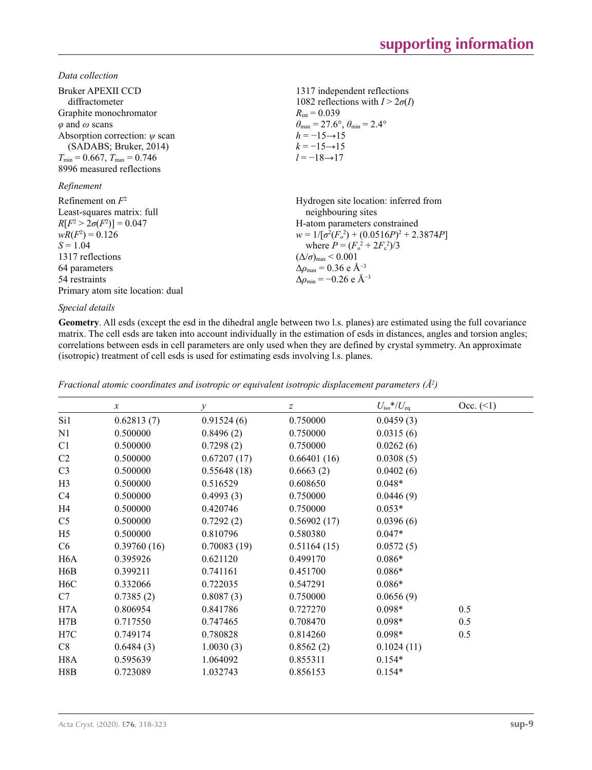*Data collection*

| Bruker APEXII CCD<br>diffractometer                    | 1317 independent reflections<br>1082 reflections with $I > 2\sigma(I)$<br>$R_{\text{int}} = 0.039$ |
|--------------------------------------------------------|----------------------------------------------------------------------------------------------------|
| Graphite monochromator<br>$\varphi$ and $\omega$ scans | $\theta_{\rm max}$ = 27.6°, $\theta_{\rm min}$ = 2.4°                                              |
|                                                        |                                                                                                    |
| Absorption correction: $\psi$ scan                     | $h = -15 \rightarrow 15$                                                                           |
| (SADABS; Bruker, 2014)                                 | $k = -15 \rightarrow 15$                                                                           |
| $T_{\min}$ = 0.667, $T_{\max}$ = 0.746                 | $l = -18 \rightarrow 17$                                                                           |
| 8996 measured reflections                              |                                                                                                    |
| Refinement                                             |                                                                                                    |
| Refinement on $F^2$                                    | Hydrogen site location: inferred from                                                              |
| Least-squares matrix: full                             | neighbouring sites                                                                                 |
| $R[F^2 > 2\sigma(F^2)] = 0.047$                        | H-atom parameters constrained                                                                      |
| $wR(F^2) = 0.126$                                      | $w = 1/[\sigma^2(F_0^2) + (0.0516P)^2 + 2.3874P]$                                                  |
| $S = 1.04$                                             | where $P = (F_0^2 + 2F_c^2)/3$                                                                     |
| 1317 reflections                                       | $(\Delta/\sigma)_{\text{max}}$ < 0.001                                                             |
| 64 parameters                                          | $\Delta\rho_{\text{max}}$ = 0.36 e Å <sup>-3</sup>                                                 |
| 54 restraints                                          | $\Delta\rho_{\rm min} = -0.26 \text{ e } \text{\AA}^{-3}$                                          |
| Primary atom site location: dual                       |                                                                                                    |
|                                                        |                                                                                                    |

#### *Special details*

**Geometry**. All esds (except the esd in the dihedral angle between two l.s. planes) are estimated using the full covariance matrix. The cell esds are taken into account individually in the estimation of esds in distances, angles and torsion angles; correlations between esds in cell parameters are only used when they are defined by crystal symmetry. An approximate (isotropic) treatment of cell esds is used for estimating esds involving l.s. planes.

*Fractional atomic coordinates and isotropic or equivalent isotropic displacement parameters (Å2 )*

|                  | $\boldsymbol{x}$ | $\mathcal{Y}$ | $\boldsymbol{Z}$ | $U_{\rm iso}*/U_{\rm eq}$ | Occ. (2) |
|------------------|------------------|---------------|------------------|---------------------------|----------|
| Si1              | 0.62813(7)       | 0.91524(6)    | 0.750000         | 0.0459(3)                 |          |
| N1               | 0.500000         | 0.8496(2)     | 0.750000         | 0.0315(6)                 |          |
| C1               | 0.500000         | 0.7298(2)     | 0.750000         | 0.0262(6)                 |          |
| C <sub>2</sub>   | 0.500000         | 0.67207(17)   | 0.66401(16)      | 0.0308(5)                 |          |
| C <sub>3</sub>   | 0.500000         | 0.55648(18)   | 0.6663(2)        | 0.0402(6)                 |          |
| H <sub>3</sub>   | 0.500000         | 0.516529      | 0.608650         | $0.048*$                  |          |
| C <sub>4</sub>   | 0.500000         | 0.4993(3)     | 0.750000         | 0.0446(9)                 |          |
| H4               | 0.500000         | 0.420746      | 0.750000         | $0.053*$                  |          |
| C <sub>5</sub>   | 0.500000         | 0.7292(2)     | 0.56902(17)      | 0.0396(6)                 |          |
| H <sub>5</sub>   | 0.500000         | 0.810796      | 0.580380         | $0.047*$                  |          |
| C <sub>6</sub>   | 0.39760(16)      | 0.70083(19)   | 0.51164(15)      | 0.0572(5)                 |          |
| H <sub>6</sub> A | 0.395926         | 0.621120      | 0.499170         | $0.086*$                  |          |
| H6B              | 0.399211         | 0.741161      | 0.451700         | $0.086*$                  |          |
| H <sub>6</sub> C | 0.332066         | 0.722035      | 0.547291         | $0.086*$                  |          |
| C7               | 0.7385(2)        | 0.8087(3)     | 0.750000         | 0.0656(9)                 |          |
| H7A              | 0.806954         | 0.841786      | 0.727270         | $0.098*$                  | 0.5      |
| H7B              | 0.717550         | 0.747465      | 0.708470         | $0.098*$                  | 0.5      |
| H7C              | 0.749174         | 0.780828      | 0.814260         | $0.098*$                  | 0.5      |
| C8               | 0.6484(3)        | 1.0030(3)     | 0.8562(2)        | 0.1024(11)                |          |
| H <sub>8</sub> A | 0.595639         | 1.064092      | 0.855311         | $0.154*$                  |          |
| H8B              | 0.723089         | 1.032743      | 0.856153         | $0.154*$                  |          |
|                  |                  |               |                  |                           |          |